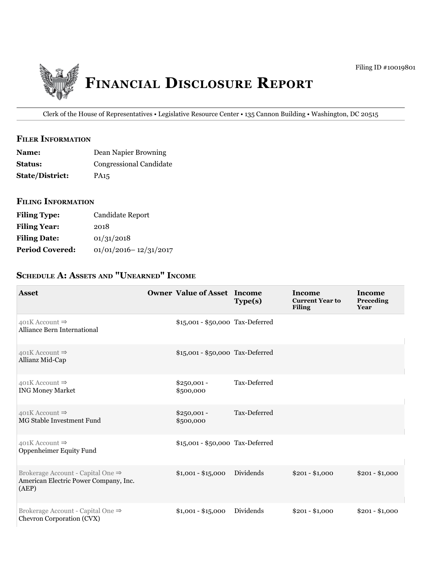

Clerk of the House of Representatives • Legislative Resource Center • 135 Cannon Building • Washington, DC 20515

## **filer information**

| <b>Name:</b>           | Dean Napier Browning    |
|------------------------|-------------------------|
| <b>Status:</b>         | Congressional Candidate |
| <b>State/District:</b> | PA <sub>15</sub>        |

## **filing information**

| <b>Filing Type:</b>    | Candidate Report          |
|------------------------|---------------------------|
| <b>Filing Year:</b>    | 2018                      |
| <b>Filing Date:</b>    | 01/31/2018                |
| <b>Period Covered:</b> | $01/01/2016 - 12/31/2017$ |

# **ScheDule a: aSSetS anD "unearneD" income**

| <b>Asset</b>                                                                        | <b>Owner Value of Asset Income</b> | Type(s)      | Income<br><b>Current Year to</b><br><b>Filing</b> | Income<br>Preceding<br>Year |
|-------------------------------------------------------------------------------------|------------------------------------|--------------|---------------------------------------------------|-----------------------------|
| 401K Account $\Rightarrow$<br>Alliance Bern International                           | \$15,001 - \$50,000 Tax-Deferred   |              |                                                   |                             |
| $401K$ Account $\Rightarrow$<br>Allianz Mid-Cap                                     | \$15,001 - \$50,000 Tax-Deferred   |              |                                                   |                             |
| 401K Account $\Rightarrow$<br><b>ING Money Market</b>                               | $$250,001 -$<br>\$500,000          | Tax-Deferred |                                                   |                             |
| $401K$ Account $\Rightarrow$<br>MG Stable Investment Fund                           | $$250,001 -$<br>\$500,000          | Tax-Deferred |                                                   |                             |
| 401K Account $\Rightarrow$<br>Oppenheimer Equity Fund                               | \$15,001 - \$50,000 Tax-Deferred   |              |                                                   |                             |
| Brokerage Account - Capital One ⇒<br>American Electric Power Company, Inc.<br>(AEP) | $$1,001 - $15,000$                 | Dividends    | $$201 - $1,000$                                   | $$201 - $1,000$             |
| Brokerage Account - Capital One ⇒<br>Chevron Corporation (CVX)                      | $$1,001 - $15,000$                 | Dividends    | $$201 - $1,000$                                   | $$201 - $1,000$             |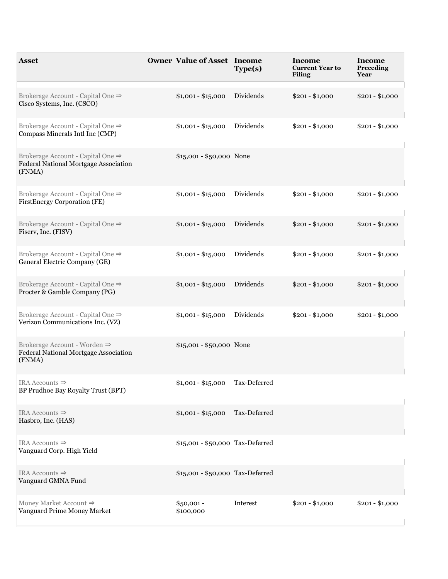| <b>Asset</b>                                                                                | <b>Owner Value of Asset Income</b> | Type(s)      | Income<br><b>Current Year to</b><br><b>Filing</b> | <b>Income</b><br>Preceding<br>Year |
|---------------------------------------------------------------------------------------------|------------------------------------|--------------|---------------------------------------------------|------------------------------------|
| Brokerage Account - Capital One ⇒<br>Cisco Systems, Inc. (CSCO)                             | $$1,001 - $15,000$                 | Dividends    | $$201 - $1,000$                                   | $$201 - $1,000$                    |
| Brokerage Account - Capital One ⇒<br>Compass Minerals Intl Inc (CMP)                        | $$1,001 - $15,000$                 | Dividends    | $$201 - $1,000$                                   | $$201 - $1,000$                    |
| Brokerage Account - Capital One ⇒<br>Federal National Mortgage Association<br>(FNMA)        | $$15,001 - $50,000$ None           |              |                                                   |                                    |
| Brokerage Account - Capital One ⇒<br>FirstEnergy Corporation (FE)                           | $$1,001 - $15,000$                 | Dividends    | $$201 - $1,000$                                   | $$201 - $1,000$                    |
| Brokerage Account - Capital One ⇒<br>Fiserv, Inc. (FISV)                                    | $$1,001 - $15,000$                 | Dividends    | $$201 - $1,000$                                   | $$201 - $1,000$                    |
| Brokerage Account - Capital One ⇒<br>General Electric Company (GE)                          | $$1,001 - $15,000$                 | Dividends    | $$201 - $1,000$                                   | $$201 - $1,000$                    |
| Brokerage Account - Capital One $\Rightarrow$<br>Procter & Gamble Company (PG)              | $$1,001 - $15,000$                 | Dividends    | $$201 - $1,000$                                   | $$201 - $1,000$                    |
| Brokerage Account - Capital One ⇒<br>Verizon Communications Inc. (VZ)                       | $$1,001 - $15,000$                 | Dividends    | $$201 - $1,000$                                   | $$201 - $1,000$                    |
| Brokerage Account - Worden $\Rightarrow$<br>Federal National Mortgage Association<br>(FNMA) | \$15,001 - \$50,000 None           |              |                                                   |                                    |
| IRA Accounts $\Rightarrow$<br>BP Prudhoe Bay Royalty Trust (BPT)                            | $$1,001 - $15,000$                 | Tax-Deferred |                                                   |                                    |
| IRA Accounts $\Rightarrow$<br>Hasbro, Inc. (HAS)                                            | $$1,001 - $15,000$                 | Tax-Deferred |                                                   |                                    |
| IRA Accounts $\Rightarrow$<br>Vanguard Corp. High Yield                                     | \$15,001 - \$50,000 Tax-Deferred   |              |                                                   |                                    |
| IRA Accounts $\Rightarrow$<br>Vanguard GMNA Fund                                            | \$15,001 - \$50,000 Tax-Deferred   |              |                                                   |                                    |
| Money Market Account $\Rightarrow$<br>Vanguard Prime Money Market                           | $$50,001 -$<br>\$100,000           | Interest     | $$201 - $1,000$                                   | $$201 - $1,000$                    |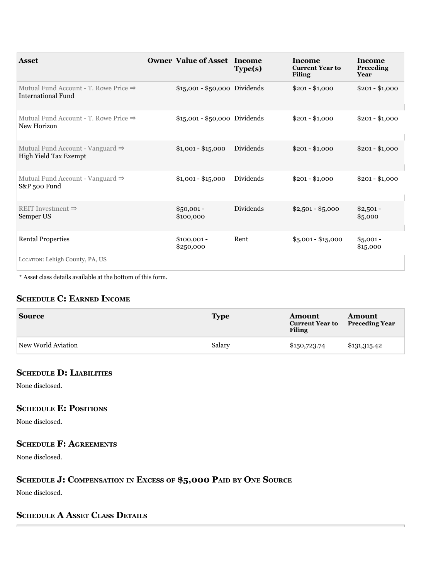| <b>Asset</b>                                                                   | <b>Owner Value of Asset Income</b> | Type(s)   | <b>Income</b><br><b>Current Year to</b><br><b>Filing</b> | Income<br>Preceding<br>Year |
|--------------------------------------------------------------------------------|------------------------------------|-----------|----------------------------------------------------------|-----------------------------|
| Mutual Fund Account - T. Rowe Price $\Rightarrow$<br><b>International Fund</b> | \$15,001 - \$50,000 Dividends      |           | $$201 - $1,000$                                          | $$201 - $1,000$             |
| Mutual Fund Account - T. Rowe Price $\Rightarrow$<br>New Horizon               | $$15,001 - $50,000$ Dividends      |           | $$201 - $1,000$                                          | $$201 - $1,000$             |
| Mutual Fund Account - Vanguard $\Rightarrow$<br>High Yield Tax Exempt          | $$1,001 - $15,000$                 | Dividends | $$201 - $1,000$                                          | $$201 - $1,000$             |
| Mutual Fund Account - Vanguard $\Rightarrow$<br>S&P 500 Fund                   | $$1,001 - $15,000$                 | Dividends | $$201 - $1,000$                                          | $$201 - $1,000$             |
| REIT Investment $\Rightarrow$<br>Semper US                                     | $$50,001 -$<br>\$100,000           | Dividends | $$2,501 - $5,000$                                        | $$2,501-$<br>\$5,000        |
| <b>Rental Properties</b>                                                       | $$100,001 -$<br>\$250,000          | Rent      | $$5,001 - $15,000$                                       | $$5,001 -$<br>\$15,000      |
| LOCATION: Lehigh County, PA, US                                                |                                    |           |                                                          |                             |

 $^\ast$  Asset class details available at the bottom of this form.

# **ScheDule c: earneD income**

| <b>Source</b>      | <b>Type</b> | Amount<br><b>Current Year to</b><br><b>Filing</b> | <b>Amount</b><br><b>Preceding Year</b> |
|--------------------|-------------|---------------------------------------------------|----------------------------------------|
| New World Aviation | Salary      | \$150,723.74                                      | \$131,315.42                           |

#### **ScheDule D: liabilitieS**

None disclosed.

#### **ScheDule e: poSitionS**

None disclosed.

### **ScheDule f: agreementS**

None disclosed.

# **ScheDule J: compenSation in exceSS of \$5,000 paiD bY one Source**

None disclosed.

# **ScheDule a aSSet claSS DetailS**